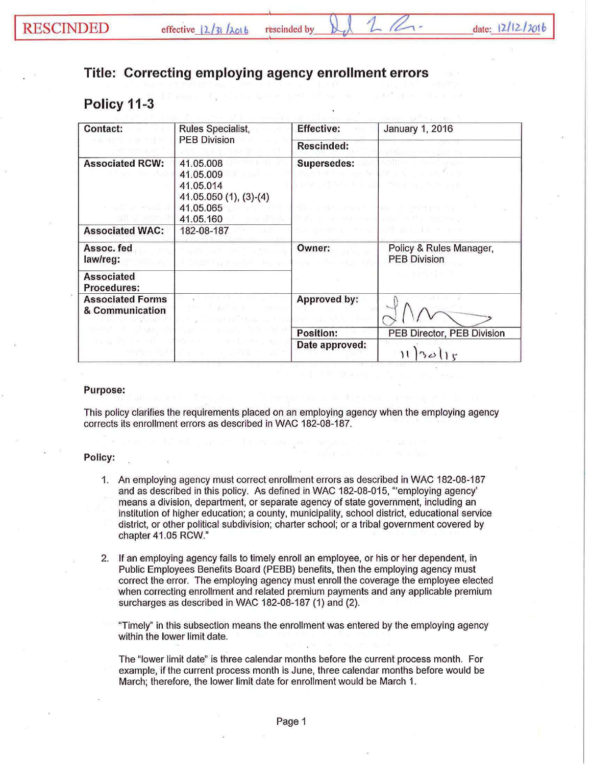## **Title: Correcting employing agency enrollment errors**

## **Policy 11-3**

| <b>Contact:</b>                                                    | Rules Specialist,<br><b>PEB Division</b>                                                | <b>Effective:</b>                                                                                                                                 | <b>January 1, 2016</b>                                                                       |
|--------------------------------------------------------------------|-----------------------------------------------------------------------------------------|---------------------------------------------------------------------------------------------------------------------------------------------------|----------------------------------------------------------------------------------------------|
|                                                                    |                                                                                         | <b>Rescinded:</b>                                                                                                                                 |                                                                                              |
| <b>Associated RCW:</b><br>with an wheely at<br>ant will care. It   | 41.05.008<br>41.05.009<br>41.05.014<br>41.05.050 (1), (3)-(4)<br>41.05.065<br>41.05.160 | <b>Supersedes:</b><br>baalkii illii maa ka a liik<br>rbod i Zji wilk in ka<br>THE R. P. LEWIS CO., LANSING MICH.<br><b>THE LEWIS CO., LANSING</b> | The of my children and<br>THE STATE<br>the first control of the control<br><b>DOWNER AND</b> |
| <b>Associated WAC:</b>                                             | 182-08-187<br>`nur!                                                                     |                                                                                                                                                   | THE PIECE AND LINE IN THE REAL PROPERTY.                                                     |
| Assoc. fed<br>law/reg:                                             | an Microsoft<br>i 1880'iy katalo bu ye                                                  | Owner:<br>$E_{\rm E}$                                                                                                                             | Policy & Rules Manager,<br><b>PEB Division</b><br>化二氯丙基丁二                                    |
| <b>Associated</b><br><b>Procedures:</b>                            |                                                                                         |                                                                                                                                                   |                                                                                              |
| <b>Associated Forms</b><br>& Communication<br>and the state of the |                                                                                         | Approved by:                                                                                                                                      |                                                                                              |
|                                                                    |                                                                                         | <b>Position:</b>                                                                                                                                  | PEB Director, PEB Division                                                                   |
|                                                                    |                                                                                         | Date approved:                                                                                                                                    |                                                                                              |

## Purpose:

This policy clarifies the requirements placed on an employing agency when the employing agency corrects its enrollment errors as described in WAC 182-08-187.

## Policy:

- 1. An employing agency must correct enrollment errors as described in WAC 182-08-187 and as described in this policy. As defined in WAC 182-08-015, '"employing agency' means a division, department, or separate agency of state government, including an institution of higher education; a county, municipality, school district, educational service district, or other political subdivision; charter school; or a tribal government covered by chapter 41.05 RCW."
- 2. If an employing agency fails to timely enroll an employee, or his or her dependent, in Public Employees Benefits Board (PEBB) benefits, then the employing agency must correct the error. The employing agency must enroll the coverage the employee elected when correcting enrollment and related premium payments and any applicable premium surcharges as described in WAC 182-08-187 (1) and (2).

'Timely" in this subsection means the enrollment was entered by the employing agency within the lower limit date.

The "lower limit date" is three calendar months before the current process month. For example, if the current process month is June, three calendar months before would be March; therefore, the lower limit date for enrollment would be March 1.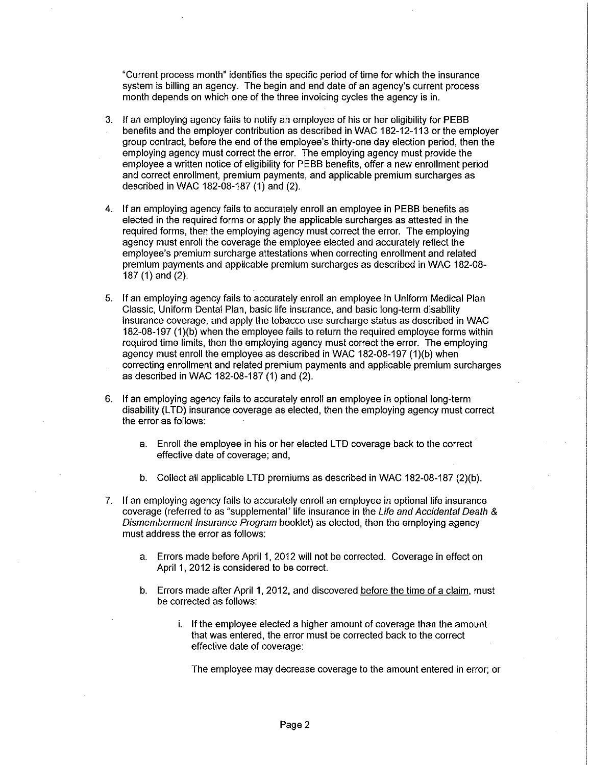"Current process month" identifies the specific period of time for which the insurance system is billing an agency. The begin and end date of an agency's current process month depends on which one of the three invoicing cycles the agency is in.

- 3. If an employing agency fails to notify an employee of his or her eligibility for PEBB benefits and the employer contribution as described in WAC 182-12-113 or the employer group contract, before the end of the employee's thirty-one day election period, then the employing agency must correct the error. The employing agency must provide the employee a written notice of eligibility for PEBB benefits, offer a new enrollment period and correct enrollment, premium payments, and applicable premium surcharges as described in WAC 182-08-187 (1) and (2).
- 4. If an employing agency fails to accurately enroll an employee in PEBB benefits as elected in the required forms or apply the applicable surcharges as attested in the required forms, then the employing agency must correct the error. The employing agency must enroll the coverage the employee elected and accurately reflect the employee's premium surcharge attestations when correcting enrollment and related premium payments and applicable premium surcharges as described in WAC 182-08- 187 (1) and (2).
- 5. If an employing agency fails to accurately enroll an employee in Uniform Medical Plan Classic, Uniform Dental Plan, basic life insurance, and basic long-term disability insurance coverage, and apply the tobacco use surcharge status as described in WAC 182-08-197 (1)(b) when the employee fails to return the required employee forms within required time limits, then the employing agency must correct the error. The employing agency must enroll the employee as described in WAC 182-08-197 (1)(b) when correcting enrollment and related premium payments and applicable premium surcharges as described in WAC 182-08-187 (1) and (2).
- 6. If an employing agency fails to accurately enroll an employee in optional long-term disability (LTD) insurance coverage as elected, then the employing agency must correct the error as follows:
	- a. Enroll the employee in his or her elected LTD coverage back to the correct effective date of coverage; and,
	- b. Collect all applicable LTD premiums as described in WAC 182-08-187 (2)(b).
- 7. If an employing agency fails to accurately enroll an employee in optional life insurance coverage (referred to as "supplemental" life insurance in the *Life and Accidental Death* & *Dismemberment Insurance Program* booklet) as elected, then the employing agency must address the error as follows:
	- a. Errors made before April 1, 2012 will not be corrected. Coverage in effect on April 1, 2012 is considered to be correct.
	- b. Errors made after April 1, 2012, and discovered before the time of a claim, must be corrected as follows:
		- i. If the employee elected a higher amount of coverage than the amount that was entered, the error must be corrected back to the correct effective date of coverage:

The employee may decrease coverage to the amount entered in error; or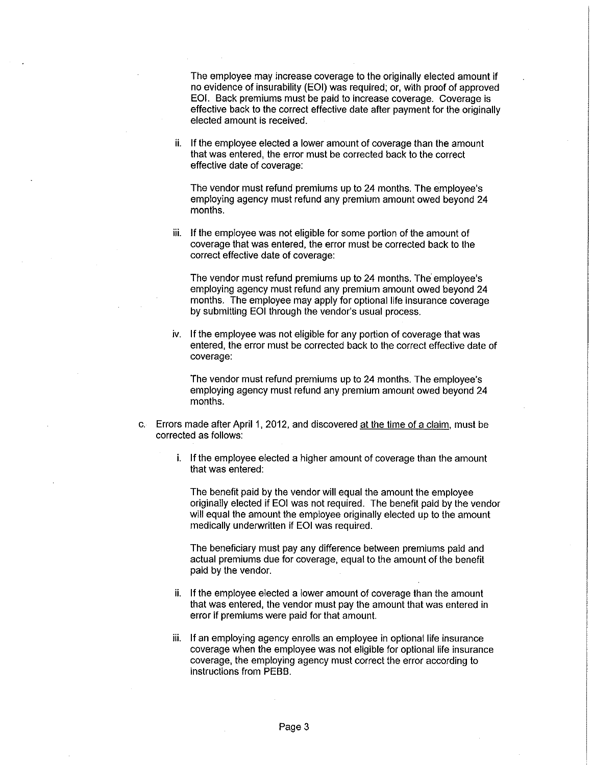The employee may increase coverage to the originally elected amount if no evidence of insurability (EOI) was required; or, with proof of approved EOI. Back premiums must be paid to increase coverage. Coverage is effective back to the correct effective date after payment for the originally elected amount is received.

ii. If the employee elected a lower amount of coverage than the amount that was entered, the error must be corrected back to the correct effective date of coverage:

The vendor must refund premiums up to 24 months. The employee's employing agency must refund any premium amount owed beyond 24 months.

iii. If the employee was not eligible for some portion of the amount of coverage that was entered, the error must be corrected back to the correct effective date of coverage:

The vendor must refund premiums up to 24 months. The employee's employing agency must refund any premium amount owed beyond 24 months. The employee may apply for optional life insurance coverage by submitting EOI through the vendor's usual process.

iv. If the employee was not eligible for any portion of coverage that was entered, the error must be corrected back to the correct effective date of coverage:

The vendor must refund premiums up to 24 months. The employee's employing agency must refund any premium amount owed beyond 24 months.

- c. Errors made after April 1, 2012, and discovered at the time of a claim, must be corrected as follows:
	- i. If the employee elected a higher amount of coverage than the amount that was entered:

The benefit paid by the vendor will equal the amount the employee originally elected if EOI was not required. The benefit paid by the vendor will equal the amount the employee originally elected up to the amount medically underwritten if EOI was required.

The beneficiary must pay any difference between premiums paid and actual premiums due for coverage, equal to the amount of the benefit paid by the vendor.

- ii. If the employee elected a lower amount of coverage than the amount that was entered, the vendor must pay the amount that was entered in error if premiums were paid for that amount.
- iii. If an employing agency enrolls an employee in optional life insurance coverage when the employee was not eligible for optional life insurance coverage, the employing agency must correct the error according to instructions from PEBB.